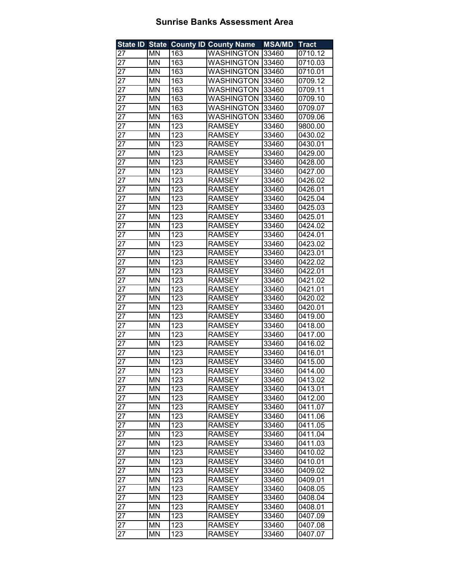| <b>State ID State</b> |           |                  | <b>County ID County Name</b> | <b>MSA/MD</b> | <b>Tract</b> |
|-----------------------|-----------|------------------|------------------------------|---------------|--------------|
| 27                    | MN        | 163              | <b>WASHINGTON</b>            | 33460         | 0710.12      |
| 27                    | MN        | 163              | <b>WASHINGTON</b>            | 33460         | 0710.03      |
| 27                    | <b>MN</b> | 163              | <b>WASHINGTON</b>            | 33460         | 0710.01      |
| 27                    | <b>MN</b> | 163              | <b>WASHINGTON</b>            | 33460         | 0709.12      |
| 27                    | <b>MN</b> | 163              | <b>WASHINGTON</b>            | 33460         | 0709.11      |
| 27                    | MN        | 163              | <b>WASHINGTON</b>            | 33460         | 0709.10      |
| 27                    | <b>MN</b> | 163              | <b>WASHINGTON</b>            | 33460         | 0709.07      |
| 27                    | MN        | 163              | <b>WASHINGTON</b>            | 33460         | 0709.06      |
| 27                    | MN        | 123              | <b>RAMSEY</b>                | 33460         | 9800.00      |
| 27                    | MN        | $\overline{123}$ | <b>RAMSEY</b>                | 33460         | 0430.02      |
| 27                    | MN        | 123              | <b>RAMSEY</b>                | 33460         | 0430.01      |
| 27                    | <b>MN</b> | 123              | <b>RAMSEY</b>                | 33460         | 0429.00      |
| 27                    | <b>MN</b> | 123              | <b>RAMSEY</b>                | 33460         | 0428.00      |
| 27                    | <b>MN</b> | $\overline{123}$ | <b>RAMSEY</b>                | 33460         | 0427.00      |
| 27                    | MN        | 123              | <b>RAMSEY</b>                | 33460         | 0426.02      |
| 27                    | MN        | 123              | <b>RAMSEY</b>                | 33460         | 0426.01      |
| 27                    | MN        | 123              | <b>RAMSEY</b>                | 33460         | 0425.04      |
| 27                    | MN        | 123              | <b>RAMSEY</b>                | 33460         | 0425.03      |
| 27                    | MN        | 123              | <b>RAMSEY</b>                | 33460         | 0425.01      |
| 27                    | <b>MN</b> | 123              | <b>RAMSEY</b>                | 33460         | 0424.02      |
| 27                    | <b>MN</b> | 123              | <b>RAMSEY</b>                | 33460         | 0424.01      |
| 27                    | <b>MN</b> | 123              | <b>RAMSEY</b>                | 33460         | 0423.02      |
| 27                    | <b>MN</b> | 123              | <b>RAMSEY</b>                | 33460         | 0423.01      |
| 27                    | MN        | 123              | <b>RAMSEY</b>                | 33460         | 0422.02      |
| 27                    | MN        | 123              | <b>RAMSEY</b>                | 33460         | 0422.01      |
| 27                    | <b>MN</b> | 123              | <b>RAMSEY</b>                | 33460         | 0421.02      |
| 27                    | MN        | 123              | <b>RAMSEY</b>                | 33460         | 0421.01      |
| 27                    | <b>MN</b> | 123              | <b>RAMSEY</b>                | 33460         | 0420.02      |
| 27                    | <b>MN</b> | 123              | <b>RAMSEY</b>                | 33460         | 0420.01      |
| 27                    | <b>MN</b> | 123              | <b>RAMSEY</b>                | 33460         | 0419.00      |
| 27                    | MN        | 123              | <b>RAMSEY</b>                | 33460         | 0418.00      |
| 27                    | MN        | 123              | <b>RAMSEY</b>                | 33460         | 0417.00      |
| 27                    | MN        | 123              | <b>RAMSEY</b>                | 33460         | 0416.02      |
| 27                    | MN        | 123              | <b>RAMSEY</b>                | 33460         | 0416.01      |
| 27                    | MN        | 123              | <b>RAMSEY</b>                | 33460         | 0415.00      |
| 27                    | MN        | 123              | <b>RAMSEY</b>                | 33460         | 0414.00      |
| 27                    | MN        | 123              | <b>RAMSEY</b>                | 33460         | 0413.02      |
| 27                    | MN        | 123              | <b>RAMSEY</b>                | 33460         | 0413.01      |
| 27                    | MN        | 123              | <b>RAMSEY</b>                | 33460         | 0412.00      |
| 27                    | MN        | 123              | <b>RAMSEY</b>                | 33460         | 0411.07      |
| 27                    | ΜN        | 123              | <b>RAMSEY</b>                | 33460         | 0411.06      |
| 27                    | ΜN        | 123              | <b>RAMSEY</b>                | 33460         | 0411.05      |
| 27                    | MN        | 123              | <b>RAMSEY</b>                | 33460         | 0411.04      |
| 27                    | ΜN        | 123              | <b>RAMSEY</b>                | 33460         | 0411.03      |
| 27                    | MN        | 123              | <b>RAMSEY</b>                | 33460         | 0410.02      |
| 27                    | ΜN        | 123              | <b>RAMSEY</b>                | 33460         | 0410.01      |
| 27                    | ΜN        | 123              | <b>RAMSEY</b>                | 33460         | 0409.02      |
| 27                    | MN        | 123              | <b>RAMSEY</b>                | 33460         | 0409.01      |
| 27                    | ΜN        | 123              | <b>RAMSEY</b>                | 33460         | 0408.05      |
| 27                    | MN        | 123              | RAMSEY                       | 33460         | 0408.04      |
| 27                    | MN        | 123              | <b>RAMSEY</b>                | 33460         | 0408.01      |
| 27                    | MN        | 123              | <b>RAMSEY</b>                | 33460         | 0407.09      |
| 27                    | MN        | 123              | <b>RAMSEY</b>                | 33460         | 0407.08      |
| 27                    | MN        | 123              | <b>RAMSEY</b>                | 33460         | 0407.07      |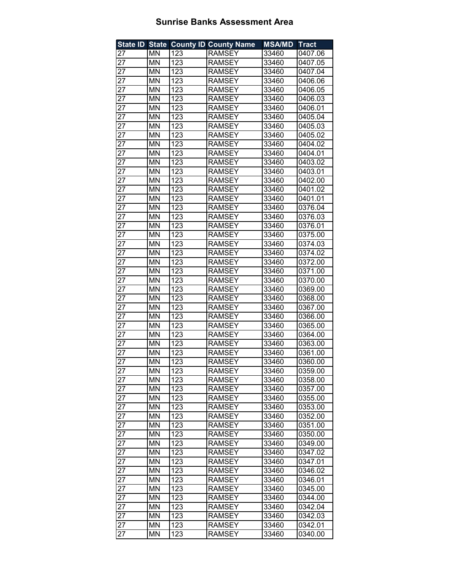|                 |           |     | State ID State County ID County Name | <b>MSA/MD</b> | <b>Tract</b> |
|-----------------|-----------|-----|--------------------------------------|---------------|--------------|
| 27              | ΜN        | 123 | <b>RAMSEY</b>                        | 33460         | 0407.06      |
| 27              | MN        | 123 | <b>RAMSEY</b>                        | 33460         | 0407.05      |
| 27              | MN        | 123 | <b>RAMSEY</b>                        | 33460         | 0407.04      |
| 27              | <b>MN</b> | 123 | <b>RAMSEY</b>                        | 33460         | 0406.06      |
| 27              | MN        | 123 | <b>RAMSEY</b>                        | 33460         | 0406.05      |
| 27              | MN        | 123 | <b>RAMSEY</b>                        | 33460         | 0406.03      |
| 27              | MN        | 123 | <b>RAMSEY</b>                        | 33460         | 0406.01      |
| 27              | MN        | 123 | <b>RAMSEY</b>                        | 33460         | 0405.04      |
| 27              | MN        | 123 | <b>RAMSEY</b>                        | 33460         | 0405.03      |
| $\overline{27}$ | MN        | 123 | <b>RAMSEY</b>                        | 33460         | 0405.02      |
| 27              | MN        | 123 | <b>RAMSEY</b>                        | 33460         | 0404.02      |
| 27              | MN        | 123 | <b>RAMSEY</b>                        | 33460         | 0404.01      |
| 27              | MN        | 123 | <b>RAMSEY</b>                        | 33460         | 0403.02      |
| 27              | MN        | 123 | <b>RAMSEY</b>                        | 33460         | 0403.01      |
| 27              | MN        | 123 | <b>RAMSEY</b>                        | 33460         | 0402.00      |
| 27              | MN        | 123 | <b>RAMSEY</b>                        | 33460         | 0401.02      |
| 27              | MN        | 123 | <b>RAMSEY</b>                        | 33460         | 0401.01      |
| 27              | MN        | 123 | <b>RAMSEY</b>                        | 33460         | 0376.04      |
| 27              | MN        | 123 | <b>RAMSEY</b>                        | 33460         | 0376.03      |
|                 |           |     | <b>RAMSEY</b>                        |               |              |
| 27              | MN        | 123 |                                      | 33460         | 0376.01      |
| 27              | MN        | 123 | <b>RAMSEY</b>                        | 33460         | 0375.00      |
| 27              | MN        | 123 | <b>RAMSEY</b>                        | 33460         | 0374.03      |
| 27              | MN        | 123 | <b>RAMSEY</b>                        | 33460         | 0374.02      |
| 27              | MN        | 123 | <b>RAMSEY</b>                        | 33460         | 0372.00      |
| 27              | MN        | 123 | <b>RAMSEY</b>                        | 33460         | 0371.00      |
| 27              | MN        | 123 | <b>RAMSEY</b>                        | 33460         | 0370.00      |
| 27              | MN        | 123 | <b>RAMSEY</b>                        | 33460         | 0369.00      |
| 27              | MN        | 123 | <b>RAMSEY</b>                        | 33460         | 0368.00      |
| 27              | MN        | 123 | <b>RAMSEY</b>                        | 33460         | 0367.00      |
| 27              | MN        | 123 | <b>RAMSEY</b>                        | 33460         | 0366.00      |
| 27              | MN        | 123 | <b>RAMSEY</b>                        | 33460         | 0365.00      |
| 27              | MN        | 123 | <b>RAMSEY</b>                        | 33460         | 0364.00      |
| 27              | MN        | 123 | <b>RAMSEY</b>                        | 33460         | 0363.00      |
| 27              | MN        | 123 | <b>RAMSEY</b>                        | 33460         | 0361.00      |
| 27              | MN        | 123 | <b>RAMSEY</b>                        | 33460         | 0360.00      |
| 27              | ΜN        | 123 | <b>RAMSEY</b>                        | 33460         | 0359.00      |
| 27              | MN        | 123 | <b>RAMSEY</b>                        | 33460         | 0358.00      |
| 27              | MN        | 123 | <b>RAMSEY</b>                        | 33460         | 0357.00      |
| 27              | MN        | 123 | <b>RAMSEY</b>                        | 33460         | 0355.00      |
| 27              | MN        | 123 | <b>RAMSEY</b>                        | 33460         | 0353.00      |
| 27              | ΜN        | 123 | <b>RAMSEY</b>                        | 33460         | 0352.00      |
| 27              | ΜN        | 123 | <b>RAMSEY</b>                        | 33460         | 0351.00      |
| 27              | MN        | 123 | <b>RAMSEY</b>                        | 33460         | 0350.00      |
| 27              | ΜN        | 123 | <b>RAMSEY</b>                        | 33460         | 0349.00      |
| 27              | ΜN        | 123 | <b>RAMSEY</b>                        | 33460         | 0347.02      |
| 27              | MN        | 123 | <b>RAMSEY</b>                        | 33460         | 0347.01      |
| 27              | ΜN        | 123 | <b>RAMSEY</b>                        | 33460         | 0346.02      |
| 27              | MN        | 123 | <b>RAMSEY</b>                        | 33460         | 0346.01      |
| 27              | ΜN        | 123 | <b>RAMSEY</b>                        | 33460         | 0345.00      |
| 27              | ΜN        | 123 | <b>RAMSEY</b>                        | 33460         | 0344.00      |
| 27              | ΜN        | 123 | <b>RAMSEY</b>                        | 33460         | 0342.04      |
| 27              | ΜN        | 123 | <b>RAMSEY</b>                        | 33460         | 0342.03      |
| 27              | ΜN        | 123 | <b>RAMSEY</b>                        | 33460         | 0342.01      |
| 27              | MN        | 123 | <b>RAMSEY</b>                        | 33460         | 0340.00      |
|                 |           |     |                                      |               |              |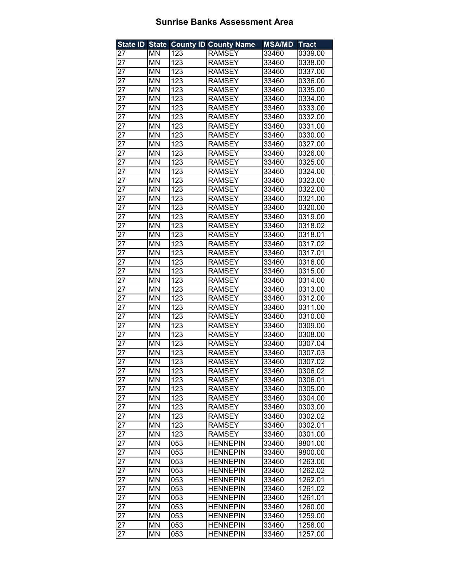|                 |           |     | State ID State County ID County Name | <b>MSA/MD</b>  | <b>Tract</b>       |
|-----------------|-----------|-----|--------------------------------------|----------------|--------------------|
| 27              | ΜN        | 123 | <b>RAMSEY</b>                        | 33460          | 0339.00            |
| 27              | MN        | 123 | <b>RAMSEY</b>                        | 33460          | 0338.00            |
| 27              | MN        | 123 | <b>RAMSEY</b>                        | 33460          | 0337.00            |
| 27              | <b>MN</b> | 123 | <b>RAMSEY</b>                        | 33460          | 0336.00            |
| 27              | <b>MN</b> | 123 | <b>RAMSEY</b>                        | 33460          | 0335.00            |
| 27              | MN        | 123 | <b>RAMSEY</b>                        | 33460          | 0334.00            |
| 27              | MN        | 123 | <b>RAMSEY</b>                        | 33460          | 0333.00            |
| 27              | MN        | 123 | <b>RAMSEY</b>                        | 33460          | 0332.00            |
| 27              | MN        | 123 | <b>RAMSEY</b>                        | 33460          | 0331.00            |
| $\overline{27}$ | MN        | 123 | <b>RAMSEY</b>                        | 33460          | 0330.00            |
| 27              | MN        | 123 | <b>RAMSEY</b>                        | 33460          | 0327.00            |
| 27              | MN        | 123 | <b>RAMSEY</b>                        | 33460          | 0326.00            |
| 27              | MN        | 123 | <b>RAMSEY</b>                        | 33460          | 0325.00            |
| 27              | MN        | 123 | <b>RAMSEY</b>                        | 33460          | 0324.00            |
| 27              | MN        | 123 | <b>RAMSEY</b>                        | 33460          | 0323.00            |
| 27              | MN        | 123 | <b>RAMSEY</b>                        | 33460          | 0322.00            |
| 27              | MN        | 123 | <b>RAMSEY</b>                        | 33460          | 0321.00            |
| 27              | MN        | 123 | <b>RAMSEY</b>                        | 33460          | 0320.00            |
| 27              | MN        | 123 | <b>RAMSEY</b>                        | 33460          | 0319.00            |
| 27              | <b>MN</b> | 123 | <b>RAMSEY</b>                        | 33460          | 0318.02            |
| 27              | MN        | 123 | <b>RAMSEY</b>                        | 33460          | 0318.01            |
| 27              | MN        | 123 | <b>RAMSEY</b>                        | 33460          | 0317.02            |
| 27              | MN        | 123 | <b>RAMSEY</b>                        | 33460          | 0317.01            |
| 27              | MN        | 123 | <b>RAMSEY</b>                        | 33460          | 0316.00            |
| 27              | MN        | 123 | <b>RAMSEY</b>                        | 33460          | 0315.00            |
| 27              | MN        | 123 | <b>RAMSEY</b>                        | 33460          | 0314.00            |
| 27              | MN        | 123 | <b>RAMSEY</b>                        | 33460          | 0313.00            |
| 27              | MN        | 123 | <b>RAMSEY</b>                        |                |                    |
| 27              | MN        | 123 | <b>RAMSEY</b>                        | 33460<br>33460 | 0312.00<br>0311.00 |
|                 | MN        | 123 | <b>RAMSEY</b>                        |                | 0310.00            |
| 27              | MN        | 123 |                                      | 33460<br>33460 |                    |
| 27              |           | 123 | <b>RAMSEY</b>                        |                | 0309.00            |
| 27              | MN        |     | <b>RAMSEY</b>                        | 33460          | 0308.00            |
| 27              | MN        | 123 | <b>RAMSEY</b>                        | 33460          | 0307.04            |
| 27              | MN        | 123 | <b>RAMSEY</b>                        | 33460          | 0307.03            |
| 27              | MN        | 123 | <b>RAMSEY</b>                        | 33460          | 0307.02            |
| 27              | ΜN        | 123 | <b>RAMSEY</b>                        | 33460          | 0306.02            |
| 27              | MN        | 123 | <b>RAMSEY</b>                        | 33460          | 0306.01            |
| 27              | MN        | 123 | <b>RAMSEY</b>                        | 33460          | 0305.00            |
| 27              | MN        | 123 | <b>RAMSEY</b>                        | 33460          | 0304.00            |
| 27              | MN        | 123 | <b>RAMSEY</b>                        | 33460          | 0303.00            |
| 27              | ΜN        | 123 | <b>RAMSEY</b>                        | 33460          | 0302.02            |
| 27              | ΜN        | 123 | <b>RAMSEY</b>                        | 33460          | 0302.01            |
| 27              | MN        | 123 | <b>RAMSEY</b>                        | 33460          | 0301.00            |
| 27              | ΜN        | 053 | <b>HENNEPIN</b>                      | 33460          | 9801.00            |
| 27              | ΜN        | 053 | <b>HENNEPIN</b>                      | 33460          | 9800.00            |
| 27              | MN        | 053 | <b>HENNEPIN</b>                      | 33460          | 1263.00            |
| 27              | ΜN        | 053 | <b>HENNEPIN</b>                      | 33460          | 1262.02            |
| 27              | MN        | 053 | <b>HENNEPIN</b>                      | 33460          | 1262.01            |
| 27              | ΜN        | 053 | <b>HENNEPIN</b>                      | 33460          | 1261.02            |
| 27              | ΜN        | 053 | <b>HENNEPIN</b>                      | 33460          | 1261.01            |
| 27              | ΜN        | 053 | <b>HENNEPIN</b>                      | 33460          | 1260.00            |
| 27              | ΜN        | 053 | <b>HENNEPIN</b>                      | 33460          | 1259.00            |
| 27              | ΜN        | 053 | <b>HENNEPIN</b>                      | 33460          | 1258.00            |
| 27              | MN        | 053 | <b>HENNEPIN</b>                      | 33460          | 1257.00            |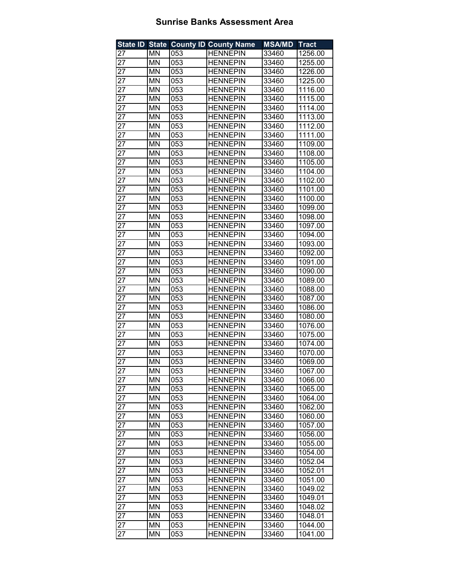| <b>State ID State</b> |           |     | <b>County ID County Name</b> | <b>MSA/MD</b> | <b>Tract</b> |
|-----------------------|-----------|-----|------------------------------|---------------|--------------|
| 27                    | MN        | 053 | <b>HENNEPIN</b>              | 33460         | 1256.00      |
| 27                    | <b>MN</b> | 053 | <b>HENNEPIN</b>              | 33460         | 1255.00      |
| 27                    | MN        | 053 | <b>HENNEPIN</b>              | 33460         | 1226.00      |
| 27                    | <b>MN</b> | 053 | <b>HENNEPIN</b>              | 33460         | 1225.00      |
| 27                    | MN        | 053 | <b>HENNEPIN</b>              | 33460         | 1116.00      |
| $\overline{27}$       | MN        | 053 | <b>HENNEPIN</b>              | 33460         | 1115.00      |
| 27                    | MN        | 053 | <b>HENNEPIN</b>              | 33460         | 1114.00      |
| 27                    | MN        | 053 | <b>HENNEPIN</b>              | 33460         | 1113.00      |
| 27                    | <b>MN</b> | 053 | <b>HENNEPIN</b>              | 33460         | 1112.00      |
| $\overline{27}$       | MN        | 053 | <b>HENNEPIN</b>              | 33460         | 1111.00      |
| $\overline{27}$       | <b>MN</b> | 053 | <b>HENNEPIN</b>              | 33460         | 1109.00      |
| 27                    | <b>MN</b> | 053 | <b>HENNEPIN</b>              | 33460         | 1108.00      |
| $\overline{27}$       | <b>MN</b> | 053 | <b>HENNEPIN</b>              | 33460         | 1105.00      |
| 27                    | MN        | 053 | <b>HENNEPIN</b>              | 33460         | 1104.00      |
| 27                    | <b>MN</b> | 053 | <b>HENNEPIN</b>              | 33460         | 1102.00      |
| 27                    | ΜN        | 053 | <b>HENNEPIN</b>              | 33460         | 1101.00      |
| 27                    | <b>MN</b> | 053 | <b>HENNEPIN</b>              | 33460         | 1100.00      |
| 27                    | MN        | 053 | <b>HENNEPIN</b>              | 33460         | 1099.00      |
| 27                    | MN        | 053 | <b>HENNEPIN</b>              | 33460         | 1098.00      |
| 27                    | MN        | 053 | <b>HENNEPIN</b>              | 33460         | 1097.00      |
| 27                    | MN        | 053 | <b>HENNEPIN</b>              | 33460         | 1094.00      |
| 27                    | MN        | 053 | <b>HENNEPIN</b>              | 33460         | 1093.00      |
| 27                    | MN        | 053 | <b>HENNEPIN</b>              | 33460         | 1092.00      |
| 27                    | MN        | 053 | <b>HENNEPIN</b>              | 33460         | 1091.00      |
| 27                    | MN        | 053 | <b>HENNEPIN</b>              | 33460         | 1090.00      |
| 27                    | MN        | 053 | <b>HENNEPIN</b>              | 33460         | 1089.00      |
| 27                    | MN        | 053 | <b>HENNEPIN</b>              | 33460         | 1088.00      |
| 27                    | <b>MN</b> | 053 | <b>HENNEPIN</b>              | 33460         | 1087.00      |
| 27                    | <b>MN</b> | 053 | <b>HENNEPIN</b>              | 33460         | 1086.00      |
| 27                    | <b>MN</b> | 053 | <b>HENNEPIN</b>              | 33460         | 1080.00      |
| 27                    | <b>MN</b> | 053 | <b>HENNEPIN</b>              | 33460         | 1076.00      |
| 27                    | MN        | 053 | <b>HENNEPIN</b>              | 33460         | 1075.00      |
| 27                    | <b>MN</b> | 053 | <b>HENNEPIN</b>              | 33460         | 1074.00      |
| 27                    | MN        | 053 | <b>HENNEPIN</b>              | 33460         | 1070.00      |
| $2\overline{7}$       | MN        | 053 | <b>HENNEPIN</b>              | 33460         | 1069.00      |
| 27                    | ΜN        | 053 | <b>HENNEPIN</b>              | 33460         | 1067.00      |
| 27                    | MN        | 053 | <b>HENNEPIN</b>              | 33460         | 1066.00      |
| $\overline{27}$       | MN        | 053 | <b>HENNEPIN</b>              | 33460         | 1065.00      |
| 27                    | MN        | 053 | <b>HENNEPIN</b>              | 33460         | 1064.00      |
| 27                    | MN        | 053 | <b>HENNEPIN</b>              | 33460         | 1062.00      |
| 27                    | MN        | 053 | <b>HENNEPIN</b>              | 33460         | 1060.00      |
| 27                    | <b>MN</b> | 053 | <b>HENNEPIN</b>              | 33460         | 1057.00      |
| 27                    | MN        | 053 | <b>HENNEPIN</b>              | 33460         | 1056.00      |
| 27                    | MN        | 053 | <b>HENNEPIN</b>              | 33460         | 1055.00      |
| 27                    | ΜN        | 053 | <b>HENNEPIN</b>              | 33460         | 1054.00      |
| 27                    | MN        | 053 | <b>HENNEPIN</b>              | 33460         | 1052.04      |
| 27                    | ΜN        | 053 | <b>HENNEPIN</b>              | 33460         | 1052.01      |
| 27                    | MN        | 053 | <b>HENNEPIN</b>              | 33460         | 1051.00      |
| 27                    | MN        | 053 | <b>HENNEPIN</b>              | 33460         | 1049.02      |
| 27                    | MN        | 053 | HENNEPIN                     | 33460         | 1049.01      |
| 27                    | MN        | 053 | <b>HENNEPIN</b>              | 33460         | 1048.02      |
| 27                    | MN        | 053 | <b>HENNEPIN</b>              | 33460         | 1048.01      |
| 27                    | ΜN        | 053 | <b>HENNEPIN</b>              | 33460         | 1044.00      |
| 27                    | MN        | 053 | <b>HENNEPIN</b>              | 33460         | 1041.00      |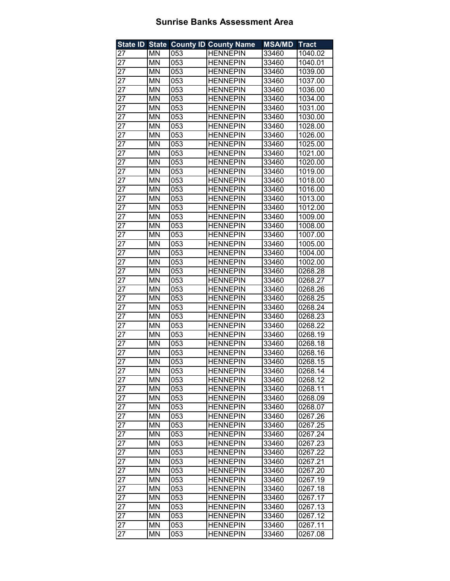| <b>State ID State</b> |           |     | <b>County ID County Name</b> | <b>MSA/MD</b> | <b>Tract</b> |
|-----------------------|-----------|-----|------------------------------|---------------|--------------|
| 27                    | MN        | 053 | <b>HENNEPIN</b>              | 33460         | 1040.02      |
| 27                    | <b>MN</b> | 053 | <b>HENNEPIN</b>              | 33460         | 1040.01      |
| 27                    | MN        | 053 | <b>HENNEPIN</b>              | 33460         | 1039.00      |
| 27                    | <b>MN</b> | 053 | <b>HENNEPIN</b>              | 33460         | 1037.00      |
| 27                    | MN        | 053 | <b>HENNEPIN</b>              | 33460         | 1036.00      |
| 27                    | MN        | 053 | <b>HENNEPIN</b>              | 33460         | 1034.00      |
| 27                    | MN        | 053 | <b>HENNEPIN</b>              | 33460         | 1031.00      |
| 27                    | MN        | 053 | <b>HENNEPIN</b>              | 33460         | 1030.00      |
| 27                    | <b>MN</b> | 053 | <b>HENNEPIN</b>              | 33460         | 1028.00      |
| $\overline{27}$       | MN        | 053 | <b>HENNEPIN</b>              | 33460         | 1026.00      |
| $\overline{27}$       | <b>MN</b> | 053 | <b>HENNEPIN</b>              | 33460         | 1025.00      |
| 27                    | <b>MN</b> | 053 | <b>HENNEPIN</b>              | 33460         | 1021.00      |
| $\overline{27}$       | <b>MN</b> | 053 | <b>HENNEPIN</b>              | 33460         | 1020.00      |
| 27                    | MN        | 053 | <b>HENNEPIN</b>              | 33460         | 1019.00      |
| 27                    | <b>MN</b> | 053 | <b>HENNEPIN</b>              | 33460         | 1018.00      |
| 27                    | MN        | 053 | <b>HENNEPIN</b>              | 33460         | 1016.00      |
| 27                    | MN        | 053 | <b>HENNEPIN</b>              | 33460         | 1013.00      |
| 27                    | MN        | 053 | <b>HENNEPIN</b>              | 33460         | 1012.00      |
| 27                    | MN        | 053 | <b>HENNEPIN</b>              | 33460         | 1009.00      |
| 27                    | MN        | 053 | <b>HENNEPIN</b>              | 33460         | 1008.00      |
| 27                    | MN        | 053 | <b>HENNEPIN</b>              | 33460         | 1007.00      |
| 27                    | MN        | 053 | <b>HENNEPIN</b>              | 33460         | 1005.00      |
| 27                    | <b>MN</b> | 053 | <b>HENNEPIN</b>              | 33460         | 1004.00      |
| 27                    | MN        | 053 | <b>HENNEPIN</b>              | 33460         | 1002.00      |
| 27                    | MN        | 053 | <b>HENNEPIN</b>              | 33460         | 0268.28      |
| 27                    | MN        | 053 | <b>HENNEPIN</b>              | 33460         | 0268.27      |
| 27                    | MN        | 053 | <b>HENNEPIN</b>              | 33460         | 0268.26      |
| 27                    | <b>MN</b> | 053 | <b>HENNEPIN</b>              | 33460         | 0268.25      |
| 27                    | <b>MN</b> | 053 | <b>HENNEPIN</b>              | 33460         | 0268.24      |
| 27                    | <b>MN</b> | 053 | <b>HENNEPIN</b>              | 33460         | 0268.23      |
| 27                    | <b>MN</b> | 053 | <b>HENNEPIN</b>              | 33460         | 0268.22      |
| 27                    | <b>MN</b> | 053 | <b>HENNEPIN</b>              | 33460         | 0268.19      |
| 27                    | <b>MN</b> | 053 | <b>HENNEPIN</b>              | 33460         | 0268.18      |
| 27                    | MN        | 053 | <b>HENNEPIN</b>              | 33460         | 0268.16      |
| 27                    | MN        | 053 | <b>HENNEPIN</b>              | 33460         | 0268.15      |
| 27                    | ΜN        | 053 | <b>HENNEPIN</b>              | 33460         | 0268.14      |
| 27                    | MN        | 053 | <b>HENNEPIN</b>              | 33460         | 0268.12      |
| $\overline{27}$       | MN        | 053 | <b>HENNEPIN</b>              | 33460         | 0268.11      |
| 27                    | MN        | 053 | <b>HENNEPIN</b>              | 33460         | 0268.09      |
| 27                    | MN        | 053 | <b>HENNEPIN</b>              | 33460         | 0268.07      |
| 27                    | MN        | 053 | <b>HENNEPIN</b>              | 33460         | 0267.26      |
| 27                    | ΜN        | 053 | <b>HENNEPIN</b>              | 33460         | 0267.25      |
| 27                    | ΜN        | 053 | <b>HENNEPIN</b>              | 33460         | 0267.24      |
| 27                    | <b>MN</b> | 053 | <b>HENNEPIN</b>              | 33460         | 0267.23      |
| 27                    | ΜN        | 053 | <b>HENNEPIN</b>              | 33460         | 0267.22      |
| 27                    | MN        | 053 | <b>HENNEPIN</b>              | 33460         | 0267.21      |
| 27                    | ΜN        | 053 | <b>HENNEPIN</b>              | 33460         | 0267.20      |
| 27                    | ΜN        | 053 | <b>HENNEPIN</b>              | 33460         | 0267.19      |
| 27                    | MN        | 053 | <b>HENNEPIN</b>              | 33460         | 0267.18      |
| 27                    | MN        | 053 | <b>HENNEPIN</b>              | 33460         | 0267.17      |
| 27                    | MN        | 053 | <b>HENNEPIN</b>              | 33460         | 0267.13      |
| 27                    | MN        | 053 | <b>HENNEPIN</b>              | 33460         | 0267.12      |
| 27                    | ΜN        | 053 | <b>HENNEPIN</b>              | 33460         | 0267.11      |
| 27                    | MN        | 053 | <b>HENNEPIN</b>              | 33460         | 0267.08      |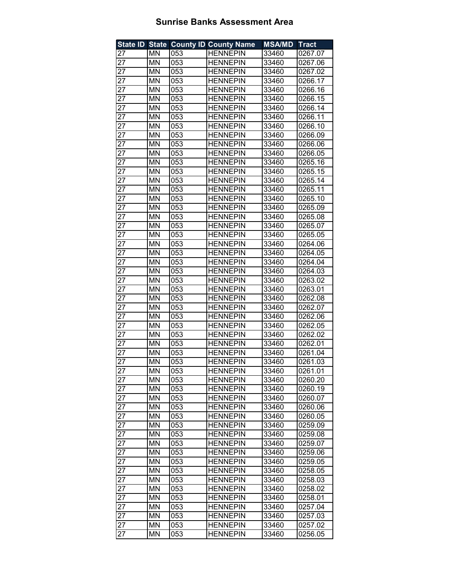| <b>State ID State</b> |                          |     | <b>County ID County Name</b> | <b>MSA/MD</b> | <b>Tract</b> |
|-----------------------|--------------------------|-----|------------------------------|---------------|--------------|
| 27                    | MN                       | 053 | <b>HENNEPIN</b>              | 33460         | 0267.07      |
| 27                    | <b>MN</b>                | 053 | <b>HENNEPIN</b>              | 33460         | 0267.06      |
| 27                    | MN                       | 053 | <b>HENNEPIN</b>              | 33460         | 0267.02      |
| 27                    | <b>MN</b>                | 053 | <b>HENNEPIN</b>              | 33460         | 0266.17      |
| 27                    | MN                       | 053 | <b>HENNEPIN</b>              | 33460         | 0266.16      |
| 27                    | MN                       | 053 | <b>HENNEPIN</b>              | 33460         | 0266.15      |
| 27                    | MN                       | 053 | <b>HENNEPIN</b>              | 33460         | 0266.14      |
| 27                    | MN                       | 053 | <b>HENNEPIN</b>              | 33460         | 0266.11      |
| 27                    | <b>MN</b>                | 053 | <b>HENNEPIN</b>              | 33460         | 0266.10      |
| $\overline{27}$       | MN                       | 053 | <b>HENNEPIN</b>              | 33460         | 0266.09      |
| $\overline{27}$       | <b>MN</b>                | 053 | <b>HENNEPIN</b>              | 33460         | 0266.06      |
| 27                    | <b>MN</b>                | 053 | <b>HENNEPIN</b>              | 33460         | 0266.05      |
| $\overline{27}$       | <b>MN</b>                | 053 | <b>HENNEPIN</b>              | 33460         | 0265.16      |
| 27                    | <b>MN</b>                | 053 | <b>HENNEPIN</b>              | 33460         | 0265.15      |
| 27                    | <b>MN</b>                | 053 | <b>HENNEPIN</b>              | 33460         | 0265.14      |
| 27                    | MN                       | 053 | <b>HENNEPIN</b>              | 33460         | 0265.11      |
| 27                    | MN                       | 053 | <b>HENNEPIN</b>              | 33460         | 0265.10      |
| 27                    | MN                       | 053 | <b>HENNEPIN</b>              | 33460         | 0265.09      |
| 27                    | MN                       | 053 | <b>HENNEPIN</b>              | 33460         | 0265.08      |
| 27                    | MN                       | 053 | <b>HENNEPIN</b>              | 33460         | 0265.07      |
| 27                    | MN                       | 053 | <b>HENNEPIN</b>              | 33460         | 0265.05      |
| 27                    | MN                       | 053 | <b>HENNEPIN</b>              | 33460         | 0264.06      |
| 27                    | <b>MN</b>                | 053 | <b>HENNEPIN</b>              | 33460         | 0264.05      |
| 27                    | MN                       | 053 | <b>HENNEPIN</b>              | 33460         | 0264.04      |
| 27                    | MN                       | 053 | <b>HENNEPIN</b>              | 33460         | 0264.03      |
| 27                    | MN                       | 053 | <b>HENNEPIN</b>              | 33460         | 0263.02      |
| 27                    | MN                       | 053 | <b>HENNEPIN</b>              | 33460         | 0263.01      |
| 27                    | MN                       | 053 | <b>HENNEPIN</b>              | 33460         | 0262.08      |
| 27                    | <b>MN</b>                | 053 | <b>HENNEPIN</b>              | 33460         | 0262.07      |
| 27                    | <b>MN</b>                | 053 | <b>HENNEPIN</b>              | 33460         | 0262.06      |
| 27                    | <b>MN</b>                | 053 | <b>HENNEPIN</b>              | 33460         | 0262.05      |
| 27                    | MN                       | 053 | <b>HENNEPIN</b>              | 33460         | 0262.02      |
| 27                    | <b>MN</b>                | 053 | <b>HENNEPIN</b>              | 33460         | 0262.01      |
| 27                    | MN                       | 053 | <b>HENNEPIN</b>              | 33460         | 0261.04      |
| 27                    | MN                       | 053 | <b>HENNEPIN</b>              | 33460         | 0261.03      |
| 27                    | MN                       | 053 | <b>HENNEPIN</b>              | 33460         | 0261.01      |
| 27                    | MN                       | 053 | <b>HENNEPIN</b>              | 33460         | 0260.20      |
| 27                    | $\overline{\mathsf{MN}}$ | 053 | <b>HENNEPIN</b>              | 33460         | 0260.19      |
| 27                    | MN                       | 053 | <b>HENNEPIN</b>              | 33460         | 0260.07      |
| 27                    | MN                       | 053 | <b>HENNEPIN</b>              | 33460         | 0260.06      |
| 27                    | MN                       | 053 | <b>HENNEPIN</b>              | 33460         | 0260.05      |
| 27                    | MN                       | 053 | <b>HENNEPIN</b>              | 33460         | 0259.09      |
| 27                    | MN                       | 053 | <b>HENNEPIN</b>              | 33460         | 0259.08      |
| 27                    | MN                       | 053 | <b>HENNEPIN</b>              | 33460         | 0259.07      |
| 27                    | ΜN                       | 053 | <b>HENNEPIN</b>              | 33460         | 0259.06      |
| 27                    | MN                       | 053 | <b>HENNEPIN</b>              | 33460         | 0259.05      |
| 27                    | ΜN                       | 053 | <b>HENNEPIN</b>              | 33460         | 0258.05      |
| 27                    | ΜN                       | 053 | <b>HENNEPIN</b>              | 33460         | 0258.03      |
| 27                    | MN                       | 053 | <b>HENNEPIN</b>              | 33460         | 0258.02      |
| 27                    | MN                       | 053 | <b>HENNEPIN</b>              | 33460         | 0258.01      |
| 27                    | MN                       | 053 | <b>HENNEPIN</b>              | 33460         | 0257.04      |
| 27                    | MN                       | 053 | <b>HENNEPIN</b>              | 33460         | 0257.03      |
| 27                    | ΜN                       | 053 | <b>HENNEPIN</b>              | 33460         | 0257.02      |
| 27                    | MN                       | 053 | <b>HENNEPIN</b>              | 33460         | 0256.05      |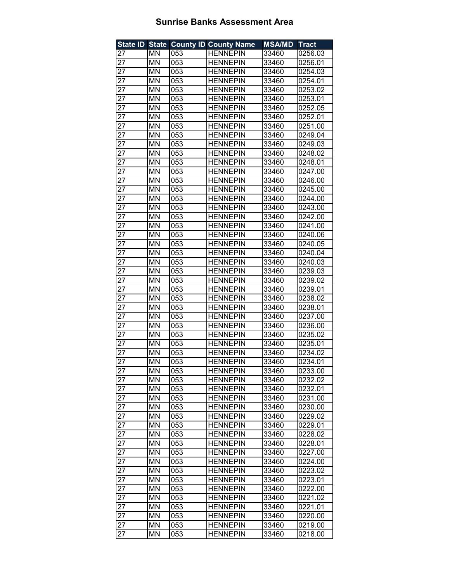| <b>State ID State</b> |                          |     | <b>County ID County Name</b> | <b>MSA/MD</b> | <b>Tract</b> |
|-----------------------|--------------------------|-----|------------------------------|---------------|--------------|
| 27                    | MN                       | 053 | <b>HENNEPIN</b>              | 33460         | 0256.03      |
| 27                    | <b>MN</b>                | 053 | <b>HENNEPIN</b>              | 33460         | 0256.01      |
| 27                    | MN                       | 053 | <b>HENNEPIN</b>              | 33460         | 0254.03      |
| 27                    | MN                       | 053 | <b>HENNEPIN</b>              | 33460         | 0254.01      |
| 27                    | MN                       | 053 | <b>HENNEPIN</b>              | 33460         | 0253.02      |
| 27                    | MN                       | 053 | <b>HENNEPIN</b>              | 33460         | 0253.01      |
| 27                    | MN                       | 053 | <b>HENNEPIN</b>              | 33460         | 0252.05      |
| 27                    | MN                       | 053 | <b>HENNEPIN</b>              | 33460         | 0252.01      |
| 27                    | <b>MN</b>                | 053 | <b>HENNEPIN</b>              | 33460         | 0251.00      |
| $\overline{27}$       | MN                       | 053 | <b>HENNEPIN</b>              | 33460         | 0249.04      |
| $\overline{27}$       | MN                       | 053 | <b>HENNEPIN</b>              | 33460         | 0249.03      |
| 27                    | <b>MN</b>                | 053 | <b>HENNEPIN</b>              | 33460         | 0248.02      |
| $\overline{27}$       | <b>MN</b>                | 053 | <b>HENNEPIN</b>              | 33460         | 0248.01      |
| 27                    | MN                       | 053 | <b>HENNEPIN</b>              | 33460         | 0247.00      |
| 27                    | <b>MN</b>                | 053 | <b>HENNEPIN</b>              | 33460         | 0246.00      |
| 27                    | ΜN                       | 053 | <b>HENNEPIN</b>              | 33460         | 0245.00      |
| 27                    | MN                       | 053 | <b>HENNEPIN</b>              | 33460         | 0244.00      |
| 27                    | MN                       | 053 | <b>HENNEPIN</b>              | 33460         | 0243.00      |
| 27                    | MN                       | 053 | <b>HENNEPIN</b>              | 33460         | 0242.00      |
| 27                    | MN                       | 053 | <b>HENNEPIN</b>              | 33460         | 0241.00      |
| 27                    | MN                       | 053 | <b>HENNEPIN</b>              | 33460         | 0240.06      |
| 27                    | MN                       | 053 | <b>HENNEPIN</b>              | 33460         | 0240.05      |
| 27                    | <b>MN</b>                | 053 | <b>HENNEPIN</b>              | 33460         | 0240.04      |
| 27                    | MN                       | 053 | <b>HENNEPIN</b>              | 33460         | 0240.03      |
| 27                    | MN                       | 053 | <b>HENNEPIN</b>              | 33460         | 0239.03      |
| 27                    | MN                       | 053 | <b>HENNEPIN</b>              | 33460         | 0239.02      |
| 27                    | MN                       | 053 | <b>HENNEPIN</b>              | 33460         | 0239.01      |
| 27                    | MN                       | 053 | <b>HENNEPIN</b>              | 33460         | 0238.02      |
| 27                    | <b>MN</b>                | 053 | <b>HENNEPIN</b>              | 33460         | 0238.01      |
| 27                    | <b>MN</b>                | 053 | <b>HENNEPIN</b>              | 33460         | 0237.00      |
| 27                    | <b>MN</b>                | 053 | <b>HENNEPIN</b>              | 33460         | 0236.00      |
| 27                    | MN                       | 053 | <b>HENNEPIN</b>              | 33460         | 0235.02      |
| 27                    | <b>MN</b>                | 053 | <b>HENNEPIN</b>              | 33460         | 0235.01      |
| 27                    | MN                       | 053 | <b>HENNEPIN</b>              | 33460         | 0234.02      |
| 27                    | MN                       | 053 | <b>HENNEPIN</b>              | 33460         | 0234.01      |
| 27                    | ΜN                       | 053 | <b>HENNEPIN</b>              | 33460         | 0233.00      |
| 27                    | MN                       | 053 | <b>HENNEPIN</b>              | 33460         | 0232.02      |
| 27                    | $\overline{\mathsf{MN}}$ | 053 | <b>HENNEPIN</b>              | 33460         | 0232.01      |
| 27                    | MN                       | 053 | <b>HENNEPIN</b>              | 33460         | 0231.00      |
| 27                    | MN                       | 053 | <b>HENNEPIN</b>              | 33460         | 0230.00      |
| 27                    | MN                       | 053 | <b>HENNEPIN</b>              | 33460         | 0229.02      |
| 27                    | MN                       | 053 | <b>HENNEPIN</b>              | 33460         | 0229.01      |
| 27                    | MN                       | 053 | <b>HENNEPIN</b>              | 33460         | 0228.02      |
| 27                    | MN                       | 053 | <b>HENNEPIN</b>              | 33460         | 0228.01      |
| 27                    | ΜN                       | 053 | <b>HENNEPIN</b>              | 33460         | 0227.00      |
| 27                    | MN                       | 053 | <b>HENNEPIN</b>              | 33460         | 0224.00      |
| 27                    | ΜN                       | 053 | <b>HENNEPIN</b>              | 33460         | 0223.02      |
| 27                    | ΜN                       | 053 | <b>HENNEPIN</b>              | 33460         | 0223.01      |
| 27                    | MN                       | 053 | <b>HENNEPIN</b>              | 33460         | 0222.00      |
| 27                    | MN                       | 053 | <b>HENNEPIN</b>              | 33460         | 0221.02      |
| 27                    | MN                       | 053 | <b>HENNEPIN</b>              | 33460         | 0221.01      |
| 27                    | MN                       | 053 | <b>HENNEPIN</b>              | 33460         | 0220.00      |
| 27                    | ΜN                       | 053 | <b>HENNEPIN</b>              | 33460         | 0219.00      |
| 27                    | MN                       | 053 | <b>HENNEPIN</b>              | 33460         | 0218.00      |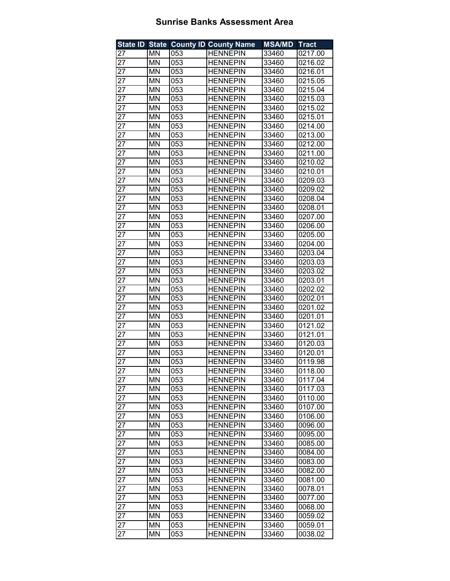| <b>State ID State</b> |                          |     | <b>County ID County Name</b> | <b>MSA/MD</b> | <b>Tract</b> |
|-----------------------|--------------------------|-----|------------------------------|---------------|--------------|
| 27                    | MN                       | 053 | <b>HENNEPIN</b>              | 33460         | 0217.00      |
| 27                    | <b>MN</b>                | 053 | <b>HENNEPIN</b>              | 33460         | 0216.02      |
| 27                    | MN                       | 053 | <b>HENNEPIN</b>              | 33460         | 0216.01      |
| 27                    | <b>MN</b>                | 053 | <b>HENNEPIN</b>              | 33460         | 0215.05      |
| 27                    | MN                       | 053 | <b>HENNEPIN</b>              | 33460         | 0215.04      |
| 27                    | MN                       | 053 | <b>HENNEPIN</b>              | 33460         | 0215.03      |
| 27                    | MN                       | 053 | <b>HENNEPIN</b>              | 33460         | 0215.02      |
| 27                    | MN                       | 053 | <b>HENNEPIN</b>              | 33460         | 0215.01      |
| 27                    | <b>MN</b>                | 053 | <b>HENNEPIN</b>              | 33460         | 0214.00      |
| $\overline{27}$       | MN                       | 053 | <b>HENNEPIN</b>              | 33460         | 0213.00      |
| $\overline{27}$       | <b>MN</b>                | 053 | <b>HENNEPIN</b>              | 33460         | 0212.00      |
| 27                    | <b>MN</b>                | 053 | <b>HENNEPIN</b>              | 33460         | 0211.00      |
| $\overline{27}$       | <b>MN</b>                | 053 | <b>HENNEPIN</b>              | 33460         | 0210.02      |
| 27                    | MN                       | 053 | <b>HENNEPIN</b>              | 33460         | 0210.01      |
| 27                    | <b>MN</b>                | 053 | <b>HENNEPIN</b>              | 33460         | 0209.03      |
| 27                    | MN                       | 053 | <b>HENNEPIN</b>              | 33460         | 0209.02      |
| 27                    | MN                       | 053 | <b>HENNEPIN</b>              | 33460         | 0208.04      |
| 27                    | MN                       | 053 | <b>HENNEPIN</b>              | 33460         | 0208.01      |
| 27                    | MN                       | 053 | <b>HENNEPIN</b>              | 33460         | 0207.00      |
| 27                    | MN                       | 053 | <b>HENNEPIN</b>              | 33460         | 0206.00      |
| 27                    | MN                       | 053 | <b>HENNEPIN</b>              | 33460         | 0205.00      |
| 27                    | MN                       | 053 | <b>HENNEPIN</b>              | 33460         | 0204.00      |
| 27                    | <b>MN</b>                | 053 | <b>HENNEPIN</b>              | 33460         | 0203.04      |
| 27                    | MN                       | 053 | <b>HENNEPIN</b>              | 33460         | 0203.03      |
| 27                    | MN                       | 053 | <b>HENNEPIN</b>              | 33460         | 0203.02      |
| 27                    | MN                       | 053 | <b>HENNEPIN</b>              | 33460         | 0203.01      |
| 27                    | MN                       | 053 | <b>HENNEPIN</b>              | 33460         | 0202.02      |
| 27                    | <b>MN</b>                | 053 | <b>HENNEPIN</b>              | 33460         | 0202.01      |
| 27                    | <b>MN</b>                | 053 | <b>HENNEPIN</b>              | 33460         | 0201.02      |
| 27                    | <b>MN</b>                | 053 | <b>HENNEPIN</b>              | 33460         | 0201.01      |
| 27                    | <b>MN</b>                | 053 | <b>HENNEPIN</b>              | 33460         | 0121.02      |
| 27                    | <b>MN</b>                | 053 | <b>HENNEPIN</b>              | 33460         | 0121.01      |
| 27                    | <b>MN</b>                | 053 | <b>HENNEPIN</b>              | 33460         | 0120.03      |
| 27                    | MN                       | 053 | <b>HENNEPIN</b>              | 33460         | 0120.01      |
| 27                    | MN                       | 053 | <b>HENNEPIN</b>              | 33460         | 0119.98      |
| 27                    | ΜN                       | 053 | <b>HENNEPIN</b>              | 33460         | 0118.00      |
| 27                    | MN                       | 053 | <b>HENNEPIN</b>              | 33460         | 0117.04      |
| 27                    | $\overline{\mathsf{MN}}$ | 053 | <b>HENNEPIN</b>              | 33460         | 0117.03      |
| 27                    | MN                       | 053 | <b>HENNEPIN</b>              | 33460         | 0110.00      |
| 27                    | MN                       | 053 | <b>HENNEPIN</b>              | 33460         | 0107.00      |
| 27                    | MN                       | 053 | <b>HENNEPIN</b>              | 33460         | 0106.00      |
| 27                    | MN                       | 053 | <b>HENNEPIN</b>              | 33460         | 0096.00      |
| 27                    | MN                       | 053 | <b>HENNEPIN</b>              | 33460         | 0095.00      |
| 27                    | MN                       | 053 | <b>HENNEPIN</b>              | 33460         | 0085.00      |
| 27                    | ΜN                       | 053 | <b>HENNEPIN</b>              | 33460         | 0084.00      |
| 27                    | MN                       | 053 | <b>HENNEPIN</b>              | 33460         | 0083.00      |
| 27                    | ΜN                       | 053 | <b>HENNEPIN</b>              | 33460         | 0082.00      |
| 27                    | MN                       | 053 | <b>HENNEPIN</b>              | 33460         | 0081.00      |
| 27                    | MN                       | 053 | <b>HENNEPIN</b>              | 33460         | 0078.01      |
| 27                    | MN                       | 053 | HENNEPIN                     | 33460         | 0077.00      |
| 27                    | MN                       | 053 | <b>HENNEPIN</b>              | 33460         | 0068.00      |
| 27                    | MN                       | 053 | <b>HENNEPIN</b>              | 33460         | 0059.02      |
| 27                    | ΜN                       | 053 | <b>HENNEPIN</b>              | 33460         | 0059.01      |
| 27                    | MN                       | 053 | <b>HENNEPIN</b>              | 33460         | 0038.02      |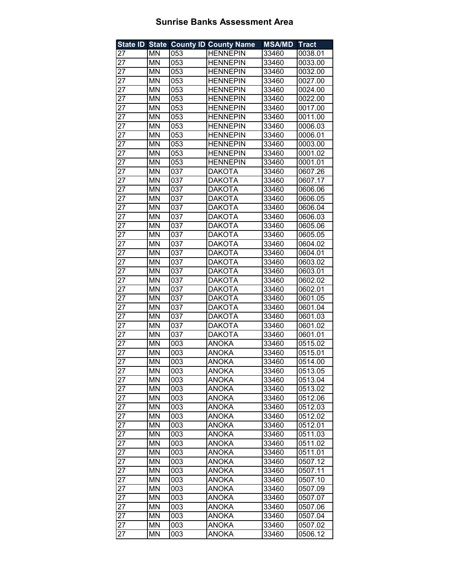| <b>State ID State</b> |           |     | <b>County ID County Name</b> | <b>MSA/MD</b> | <b>Tract</b> |
|-----------------------|-----------|-----|------------------------------|---------------|--------------|
| 27                    | ΜN        | 053 | <b>HENNEPIN</b>              | 33460         | 0038.01      |
| 27                    | MN        | 053 | <b>HENNEPIN</b>              | 33460         | 0033.00      |
| 27                    | MN        | 053 | <b>HENNEPIN</b>              | 33460         | 0032.00      |
| 27                    | <b>MN</b> | 053 | <b>HENNEPIN</b>              | 33460         | 0027.00      |
| 27                    | <b>MN</b> | 053 | <b>HENNEPIN</b>              | 33460         | 0024.00      |
| 27                    | <b>MN</b> | 053 | <b>HENNEPIN</b>              | 33460         | 0022.00      |
| 27                    | MN        | 053 | <b>HENNEPIN</b>              | 33460         | 0017.00      |
| 27                    | MN        | 053 | <b>HENNEPIN</b>              | 33460         | 0011.00      |
| 27                    | MN        | 053 | <b>HENNEPIN</b>              | 33460         | 0006.03      |
| $\overline{27}$       | MN        | 053 | <b>HENNEPIN</b>              | 33460         | 0006.01      |
| 27                    | MN        | 053 | <b>HENNEPIN</b>              | 33460         | 0003.00      |
| 27                    | MN        | 053 | <b>HENNEPIN</b>              | 33460         | 0001.02      |
| 27                    | MN        | 053 | <b>HENNEPIN</b>              | 33460         | 0001.01      |
| $2\overline{7}$       | MN        | 037 | <b>DAKOTA</b>                | 33460         | 0607.26      |
| 27                    | MN        | 037 | <b>DAKOTA</b>                | 33460         | 0607.17      |
| 27                    | <b>MN</b> | 037 | <b>DAKOTA</b>                | 33460         | 0606.06      |
| 27                    | MN        | 037 | <b>DAKOTA</b>                | 33460         | 0606.05      |
| 27                    | MN        | 037 | <b>DAKOTA</b>                | 33460         | 0606.04      |
| 27                    | MN        | 037 | <b>DAKOTA</b>                | 33460         | 0606.03      |
| 27                    | MN        | 037 | <b>DAKOTA</b>                | 33460         | 0605.06      |
| 27                    | MN        | 037 | <b>DAKOTA</b>                | 33460         | 0605.05      |
| 27                    | <b>MN</b> | 037 | <b>DAKOTA</b>                | 33460         | 0604.02      |
| 27                    | <b>MN</b> | 037 | <b>DAKOTA</b>                | 33460         | 0604.01      |
| 27                    | MN        | 037 | <b>DAKOTA</b>                | 33460         | 0603.02      |
| 27                    | MN        | 037 | <b>DAKOTA</b>                | 33460         | 0603.01      |
| 27                    | MN        | 037 | <b>DAKOTA</b>                | 33460         | 0602.02      |
| 27                    | MN        | 037 | <b>DAKOTA</b>                | 33460         | 0602.01      |
| 27                    | MN        | 037 | <b>DAKOTA</b>                | 33460         | 0601.05      |
| 27                    | MN        | 037 | <b>DAKOTA</b>                | 33460         | 0601.04      |
| 27                    | MN        | 037 | <b>DAKOTA</b>                | 33460         | 0601.03      |
| 27                    | MN        | 037 | <b>DAKOTA</b>                | 33460         | 0601.02      |
| 27                    | MN        | 037 | <b>DAKOTA</b>                | 33460         | 0601.01      |
| 27                    | MN        | 003 | <b>ANOKA</b>                 | 33460         | 0515.02      |
| 27                    | MN        | 003 | ANOKA                        | 33460         | 0515.01      |
| 27                    | MN        | 003 | <b>ANOKA</b>                 | 33460         | 0514.00      |
| 27                    | ΜN        | 003 | ANOKA                        | 33460         | 0513.05      |
| 27                    | MN        | 003 | <b>ANOKA</b>                 | 33460         | 0513.04      |
| 27                    | MN        | 003 | <b>ANOKA</b>                 | 33460         | 0513.02      |
| 27                    | MN        | 003 | <b>ANOKA</b>                 | 33460         | 0512.06      |
| 27                    | MN        | 003 | <b>ANOKA</b>                 | 33460         | 0512.03      |
| 27                    | MN        | 003 | <b>ANOKA</b>                 | 33460         | 0512.02      |
| 27                    | ΜN        | 003 | <b>ANOKA</b>                 | 33460         | 0512.01      |
| 27                    | MN        | 003 | <b>ANOKA</b>                 | 33460         | 0511.03      |
| 27                    | ΜN        | 003 | <b>ANOKA</b>                 | 33460         | 0511.02      |
| 27                    | MN        | 003 | <b>ANOKA</b>                 | 33460         | 0511.01      |
| 27                    | MN        | 003 | <b>ANOKA</b>                 | 33460         | 0507.12      |
| 27                    | MN        | 003 | <b>ANOKA</b>                 | 33460         | 0507.11      |
| 27                    | MN        | 003 | <b>ANOKA</b>                 | 33460         | 0507.10      |
| 27                    | ΜN        | 003 | <b>ANOKA</b>                 | 33460         | 0507.09      |
| 27                    | ΜN        | 003 | <b>ANOKA</b>                 | 33460         | 0507.07      |
| 27                    | ΜN        | 003 | ANOKA                        | 33460         | 0507.06      |
| 27                    | ΜN        | 003 | <b>ANOKA</b>                 | 33460         | 0507.04      |
| 27                    | ΜN        | 003 | <b>ANOKA</b>                 | 33460         | 0507.02      |
| 27                    | MN        | 003 | <b>ANOKA</b>                 | 33460         | 0506.12      |